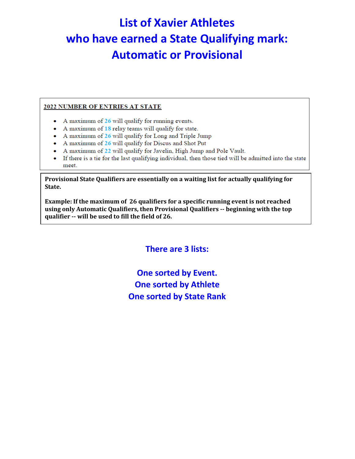# **List of Xavier Athletes who have earned a State Qualifying mark: Automatic or Provisional**

#### 2022 NUMBER OF ENTRIES AT STATE

- A maximum of 26 will qualify for running events.
- A maximum of 18 relay teams will qualify for state.
- A maximum of 26 will qualify for Long and Triple Jump
- A maximum of 26 will qualify for Discus and Shot Put
- A maximum of 22 will qualify for Javelin, High Jump and Pole Vault.
- If there is a tie for the last qualifying individual, then those tied will be admitted into the state meet.

**Provisional State Qualifiers are essentially on a waiting list for actually qualifying for State.**

**Example: If the maximum of 26 qualifiers for a specific running event is not reached using only Automatic Qualifiers, then Provisional Qualifiers -- beginning with the top qualifier -- will be used to fill the field of 26.**

**There are 3 lists:**

**One sorted by Event. One sorted by Athlete One sorted by State Rank**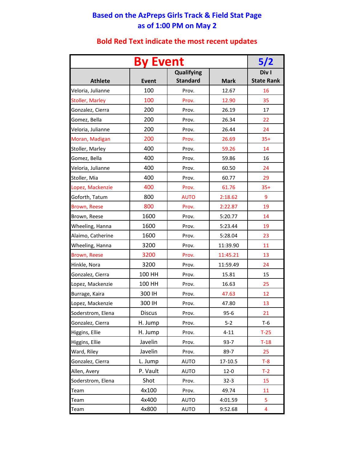## **Based on the AzPreps Girls Track & Field Stat Page as of 1:00 PM on May 2**

|                        | 5/2             |                   |             |                   |
|------------------------|-----------------|-------------------|-------------|-------------------|
|                        | <b>By Event</b> | <b>Qualifying</b> |             | Div I             |
| <b>Athlete</b>         | <b>Event</b>    | <b>Standard</b>   | <b>Mark</b> | <b>State Rank</b> |
| Veloria, Julianne      | 100             | Prov.             | 12.67       | 16                |
| <b>Stoller, Marley</b> | 100             | Prov.             | 12.90       | 35                |
| Gonzalez, Cierra       | 200             | Prov.             | 26.19       | 17                |
| Gomez, Bella           | 200             | Prov.             | 26.34       | 22                |
| Veloria, Julianne      | 200             | Prov.             | 26.44       | 24                |
| Moran, Madigan         | 200             | Prov.             | 26.69       | $35+$             |
| Stoller, Marley        | 400             | Prov.             | 59.26       | 14                |
| Gomez, Bella           | 400             | Prov.             | 59.86       | 16                |
| Veloria, Julianne      | 400             | Prov.             | 60.50       | 24                |
| Stoller, Mia           | 400             | Prov.             | 60.77       | 29                |
| Lopez, Mackenzie       | 400             | Prov.             | 61.76       | $35+$             |
| Goforth, Tatum         | 800             | <b>AUTO</b>       | 2:18.62     | 9                 |
| Brown, Reese           | 800             | Prov.             | 2:22.87     | 19                |
| Brown, Reese           | 1600            | Prov.             | 5:20.77     | 14                |
| Wheeling, Hanna        | 1600            | Prov.             | 5:23.44     | 19                |
| Alaimo, Catherine      | 1600            | Prov.             | 5:28.04     | 23                |
| Wheeling, Hanna        | 3200            | Prov.             | 11:39.90    | 11                |
| Brown, Reese           | 3200            | Prov.             | 11:45.21    | 13                |
| Hinkle, Nora           | 3200            | Prov.             | 11:59.49    | 24                |
| Gonzalez, Cierra       | 100 HH          | Prov.             | 15.81       | 15                |
| Lopez, Mackenzie       | 100 HH          | Prov.             | 16.63       | 25                |
| Burrage, Kaira         | 300 IH          | Prov.             | 47.63       | 12                |
| Lopez, Mackenzie       | 300 IH          | Prov.             | 47.80       | 13                |
| Soderstrom, Elena      | <b>Discus</b>   | Prov.             | $95 - 6$    | 21                |
| Gonzalez, Cierra       | H. Jump         | Prov.             | $5 - 2$     | T-6               |
| Higgins, Ellie         | H. Jump         | Prov.             | $4 - 11$    | $T-25$            |
| Higgins, Ellie         | Javelin         | Prov.             | $93 - 7$    | $T-18$            |
| Ward, Riley            | Javelin         | Prov.             | 89-7        | 25                |
| Gonzalez, Cierra       | L. Jump         | <b>AUTO</b>       | 17-10.5     | $T-8$             |
| Allen, Avery           | P. Vault        | <b>AUTO</b>       | $12 - 0$    | $T-2$             |
| Soderstrom, Elena      | Shot            | Prov.             | $32 - 3$    | 15                |
| Team                   | 4x100           | Prov.             | 49.74       | 11                |
| Team                   | 4x400           | <b>AUTO</b>       | 4:01.59     | 5                 |
| Team                   | 4x800           | AUTO              | 9:52.68     | 4                 |

## **Bold Red Text indicate the most recent updates**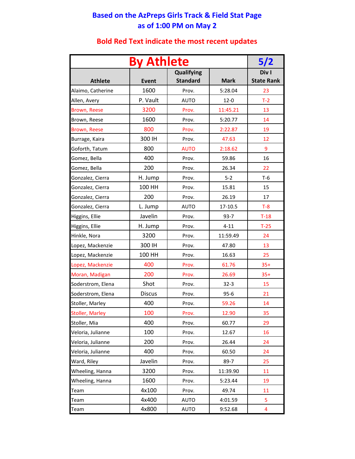## **Based on the AzPreps Girls Track & Field Stat Page as of 1:00 PM on May 2**

|                   | 5/2           |                                      |             |                            |
|-------------------|---------------|--------------------------------------|-------------|----------------------------|
| <b>Athlete</b>    | <b>Event</b>  | <b>Qualifying</b><br><b>Standard</b> | <b>Mark</b> | Div I<br><b>State Rank</b> |
| Alaimo, Catherine | 1600          | Prov.                                | 5:28.04     | 23                         |
| Allen, Avery      | P. Vault      | <b>AUTO</b>                          | $12 - 0$    | $T-2$                      |
| Brown, Reese      | 3200          | Prov.                                | 11:45.21    | 13                         |
| Brown, Reese      | 1600          | Prov.                                | 5:20.77     | 14                         |
| Brown, Reese      | 800           | Prov.                                | 2:22.87     | 19                         |
| Burrage, Kaira    | 300 IH        | Prov.                                | 47.63       | 12                         |
| Goforth, Tatum    | 800           | <b>AUTO</b>                          | 2:18.62     | 9                          |
| Gomez, Bella      | 400           | Prov.                                | 59.86       | 16                         |
| Gomez, Bella      | 200           | Prov.                                | 26.34       | 22                         |
| Gonzalez, Cierra  | H. Jump       | Prov.                                | $5 - 2$     | $T-6$                      |
| Gonzalez, Cierra  | 100 HH        | Prov.                                | 15.81       | 15                         |
| Gonzalez, Cierra  | 200           | Prov.                                | 26.19       | 17                         |
| Gonzalez, Cierra  | L. Jump       | <b>AUTO</b>                          | 17-10.5     | $T-8$                      |
| Higgins, Ellie    | Javelin       | Prov.                                | $93 - 7$    | $T-18$                     |
| Higgins, Ellie    | H. Jump       | Prov.                                | $4 - 11$    | $T-25$                     |
| Hinkle, Nora      | 3200          | Prov.                                | 11:59.49    | 24                         |
| Lopez, Mackenzie  | 300 IH        | Prov.                                | 47.80       | 13                         |
| Lopez, Mackenzie  | 100 HH        | Prov.                                | 16.63       | 25                         |
| Lopez, Mackenzie  | 400           | Prov.                                | 61.76       | $35+$                      |
| Moran, Madigan    | 200           | Prov.                                | 26.69       | $35+$                      |
| Soderstrom, Elena | Shot          | Prov.                                | $32 - 3$    | 15                         |
| Soderstrom, Elena | <b>Discus</b> | Prov.                                | $95 - 6$    | 21                         |
| Stoller, Marley   | 400           | Prov.                                | 59.26       | 14                         |
| Stoller, Marley   | 100           | Prov.                                | 12.90       | 35                         |
| Stoller, Mia      | 400           | Prov.                                | 60.77       | 29                         |
| Veloria, Julianne | 100           | Prov.                                | 12.67       | 16                         |
| Veloria, Julianne | 200           | Prov.                                | 26.44       | 24                         |
| Veloria, Julianne | 400           | Prov.                                | 60.50       | 24                         |
| Ward, Riley       | Javelin       | Prov.                                | 89-7        | 25                         |
| Wheeling, Hanna   | 3200          | Prov.                                | 11:39.90    | 11                         |
| Wheeling, Hanna   | 1600          | Prov.                                | 5:23.44     | 19                         |
| Team              | 4x100         | Prov.                                | 49.74       | 11                         |
| Team              | 4x400         | <b>AUTO</b>                          | 4:01.59     | 5                          |
| Team              | 4x800         | <b>AUTO</b>                          | 9:52.68     | 4                          |

## **Bold Red Text indicate the most recent updates**